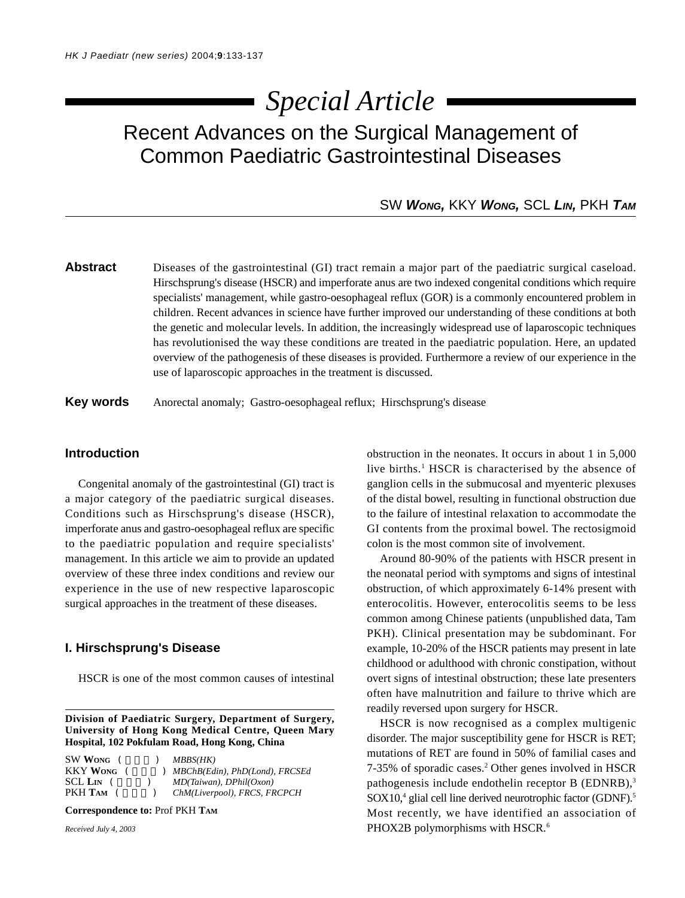# *Special Article*

Recent Advances on the Surgical Management of Common Paediatric Gastrointestinal Diseases

## SW *WONG,* KKY *WONG,* SCL *LIN,* PKH *TAM*

Abstract Diseases of the gastrointestinal (GI) tract remain a major part of the paediatric surgical caseload. Hirschsprung's disease (HSCR) and imperforate anus are two indexed congenital conditions which require specialists' management, while gastro-oesophageal reflux (GOR) is a commonly encountered problem in children. Recent advances in science have further improved our understanding of these conditions at both the genetic and molecular levels. In addition, the increasingly widespread use of laparoscopic techniques has revolutionised the way these conditions are treated in the paediatric population. Here, an updated overview of the pathogenesis of these diseases is provided. Furthermore a review of our experience in the use of laparoscopic approaches in the treatment is discussed.

**Key words** Anorectal anomaly; Gastro-oesophageal reflux; Hirschsprung's disease

## **Introduction**

Congenital anomaly of the gastrointestinal (GI) tract is a major category of the paediatric surgical diseases. Conditions such as Hirschsprung's disease (HSCR), imperforate anus and gastro-oesophageal reflux are specific to the paediatric population and require specialists' management. In this article we aim to provide an updated overview of these three index conditions and review our experience in the use of new respective laparoscopic surgical approaches in the treatment of these diseases.

## **I. Hirschsprung's Disease**

HSCR is one of the most common causes of intestinal

**Division of Paediatric Surgery, Department of Surgery, University of Hong Kong Medical Centre, Queen Mary Hospital, 102 Pokfulam Road, Hong Kong, China**

| SW WONG (       | MBBS(HK)                         |
|-----------------|----------------------------------|
| <b>KKY WONG</b> | ) MBChB(Edin), PhD(Lond), FRCSEd |
| SCL LIN (       | $MD(Taiwan)$ , $DPhill(Oxon)$    |
| РКН Там         | ChM(Liverpool), FRCS, FRCPCH     |

**Correspondence to:** Prof PKH **TAM**

*Received July 4, 2003*

obstruction in the neonates. It occurs in about 1 in 5,000 live births.<sup>1</sup> HSCR is characterised by the absence of ganglion cells in the submucosal and myenteric plexuses of the distal bowel, resulting in functional obstruction due to the failure of intestinal relaxation to accommodate the GI contents from the proximal bowel. The rectosigmoid colon is the most common site of involvement.

Around 80-90% of the patients with HSCR present in the neonatal period with symptoms and signs of intestinal obstruction, of which approximately 6-14% present with enterocolitis. However, enterocolitis seems to be less common among Chinese patients (unpublished data, Tam PKH). Clinical presentation may be subdominant. For example, 10-20% of the HSCR patients may present in late childhood or adulthood with chronic constipation, without overt signs of intestinal obstruction; these late presenters often have malnutrition and failure to thrive which are readily reversed upon surgery for HSCR.

HSCR is now recognised as a complex multigenic disorder. The major susceptibility gene for HSCR is RET; mutations of RET are found in 50% of familial cases and 7-35% of sporadic cases.<sup>2</sup> Other genes involved in HSCR pathogenesis include endothelin receptor B (EDNRB),<sup>3</sup> SOX10,<sup>4</sup> glial cell line derived neurotrophic factor (GDNF).<sup>5</sup> Most recently, we have identified an association of PHOX2B polymorphisms with HSCR.<sup>6</sup>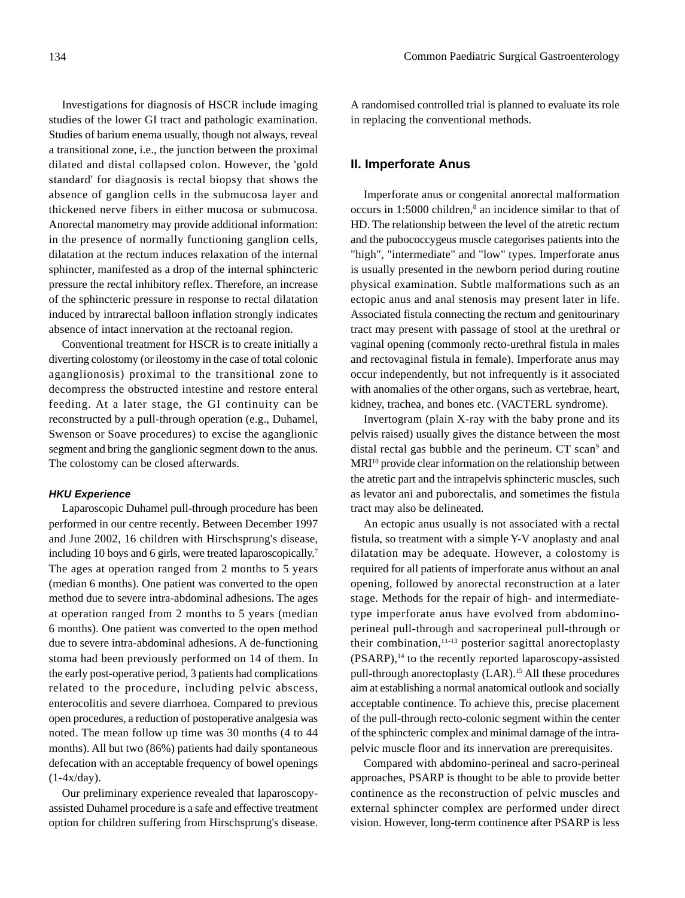Investigations for diagnosis of HSCR include imaging studies of the lower GI tract and pathologic examination. Studies of barium enema usually, though not always, reveal a transitional zone, i.e., the junction between the proximal dilated and distal collapsed colon. However, the 'gold standard' for diagnosis is rectal biopsy that shows the absence of ganglion cells in the submucosa layer and thickened nerve fibers in either mucosa or submucosa. Anorectal manometry may provide additional information: in the presence of normally functioning ganglion cells, dilatation at the rectum induces relaxation of the internal sphincter, manifested as a drop of the internal sphincteric pressure the rectal inhibitory reflex. Therefore, an increase of the sphincteric pressure in response to rectal dilatation induced by intrarectal balloon inflation strongly indicates absence of intact innervation at the rectoanal region.

Conventional treatment for HSCR is to create initially a diverting colostomy (or ileostomy in the case of total colonic aganglionosis) proximal to the transitional zone to decompress the obstructed intestine and restore enteral feeding. At a later stage, the GI continuity can be reconstructed by a pull-through operation (e.g., Duhamel, Swenson or Soave procedures) to excise the aganglionic segment and bring the ganglionic segment down to the anus. The colostomy can be closed afterwards.

#### *HKU Experience*

Laparoscopic Duhamel pull-through procedure has been performed in our centre recently. Between December 1997 and June 2002, 16 children with Hirschsprung's disease, including 10 boys and 6 girls, were treated laparoscopically.<sup>7</sup> The ages at operation ranged from 2 months to 5 years (median 6 months). One patient was converted to the open method due to severe intra-abdominal adhesions. The ages at operation ranged from 2 months to 5 years (median 6 months). One patient was converted to the open method due to severe intra-abdominal adhesions. A de-functioning stoma had been previously performed on 14 of them. In the early post-operative period, 3 patients had complications related to the procedure, including pelvic abscess, enterocolitis and severe diarrhoea. Compared to previous open procedures, a reduction of postoperative analgesia was noted. The mean follow up time was 30 months (4 to 44 months). All but two (86%) patients had daily spontaneous defecation with an acceptable frequency of bowel openings  $(1-4x/day)$ .

Our preliminary experience revealed that laparoscopyassisted Duhamel procedure is a safe and effective treatment option for children suffering from Hirschsprung's disease.

A randomised controlled trial is planned to evaluate its role in replacing the conventional methods.

### **II. Imperforate Anus**

Imperforate anus or congenital anorectal malformation occurs in 1:5000 children,<sup>8</sup> an incidence similar to that of HD. The relationship between the level of the atretic rectum and the pubococcygeus muscle categorises patients into the "high", "intermediate" and "low" types. Imperforate anus is usually presented in the newborn period during routine physical examination. Subtle malformations such as an ectopic anus and anal stenosis may present later in life. Associated fistula connecting the rectum and genitourinary tract may present with passage of stool at the urethral or vaginal opening (commonly recto-urethral fistula in males and rectovaginal fistula in female). Imperforate anus may occur independently, but not infrequently is it associated with anomalies of the other organs, such as vertebrae, heart, kidney, trachea, and bones etc. (VACTERL syndrome).

Invertogram (plain X-ray with the baby prone and its pelvis raised) usually gives the distance between the most distal rectal gas bubble and the perineum. CT scan<sup>9</sup> and MRI<sup>10</sup> provide clear information on the relationship between the atretic part and the intrapelvis sphincteric muscles, such as levator ani and puborectalis, and sometimes the fistula tract may also be delineated.

An ectopic anus usually is not associated with a rectal fistula, so treatment with a simple Y-V anoplasty and anal dilatation may be adequate. However, a colostomy is required for all patients of imperforate anus without an anal opening, followed by anorectal reconstruction at a later stage. Methods for the repair of high- and intermediatetype imperforate anus have evolved from abdominoperineal pull-through and sacroperineal pull-through or their combination, $11-13$  posterior sagittal anorectoplasty  $(PSARP),<sup>14</sup>$  to the recently reported laparoscopy-assisted pull-through anorectoplasty (LAR).<sup>15</sup> All these procedures aim at establishing a normal anatomical outlook and socially acceptable continence. To achieve this, precise placement of the pull-through recto-colonic segment within the center of the sphincteric complex and minimal damage of the intrapelvic muscle floor and its innervation are prerequisites.

Compared with abdomino-perineal and sacro-perineal approaches, PSARP is thought to be able to provide better continence as the reconstruction of pelvic muscles and external sphincter complex are performed under direct vision. However, long-term continence after PSARP is less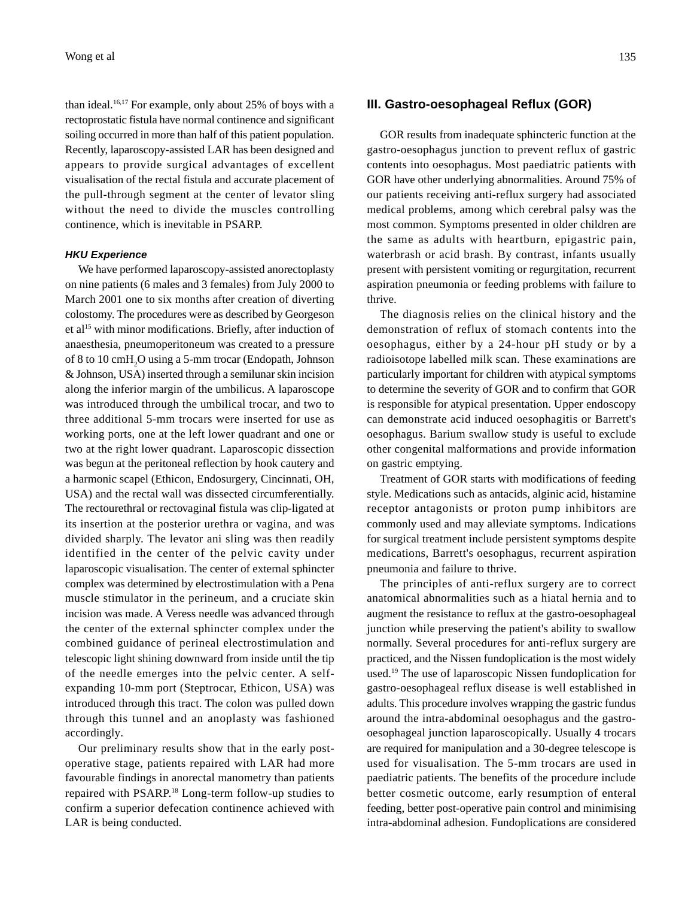than ideal.<sup>16,17</sup> For example, only about 25% of boys with a rectoprostatic fistula have normal continence and significant soiling occurred in more than half of this patient population. Recently, laparoscopy-assisted LAR has been designed and appears to provide surgical advantages of excellent visualisation of the rectal fistula and accurate placement of the pull-through segment at the center of levator sling without the need to divide the muscles controlling continence, which is inevitable in PSARP.

#### *HKU Experience*

We have performed laparoscopy-assisted anorectoplasty on nine patients (6 males and 3 females) from July 2000 to March 2001 one to six months after creation of diverting colostomy. The procedures were as described by Georgeson et al<sup>15</sup> with minor modifications. Briefly, after induction of anaesthesia, pneumoperitoneum was created to a pressure of 8 to 10 cmH<sub>2</sub>O using a 5-mm trocar (Endopath, Johnson & Johnson, USA) inserted through a semilunar skin incision along the inferior margin of the umbilicus. A laparoscope was introduced through the umbilical trocar, and two to three additional 5-mm trocars were inserted for use as working ports, one at the left lower quadrant and one or two at the right lower quadrant. Laparoscopic dissection was begun at the peritoneal reflection by hook cautery and a harmonic scapel (Ethicon, Endosurgery, Cincinnati, OH, USA) and the rectal wall was dissected circumferentially. The rectourethral or rectovaginal fistula was clip-ligated at its insertion at the posterior urethra or vagina, and was divided sharply. The levator ani sling was then readily identified in the center of the pelvic cavity under laparoscopic visualisation. The center of external sphincter complex was determined by electrostimulation with a Pena muscle stimulator in the perineum, and a cruciate skin incision was made. A Veress needle was advanced through the center of the external sphincter complex under the combined guidance of perineal electrostimulation and telescopic light shining downward from inside until the tip of the needle emerges into the pelvic center. A selfexpanding 10-mm port (Steptrocar, Ethicon, USA) was introduced through this tract. The colon was pulled down through this tunnel and an anoplasty was fashioned accordingly.

Our preliminary results show that in the early postoperative stage, patients repaired with LAR had more favourable findings in anorectal manometry than patients repaired with PSARP.18 Long-term follow-up studies to confirm a superior defecation continence achieved with LAR is being conducted.

#### **III. Gastro-oesophageal Reflux (GOR)**

GOR results from inadequate sphincteric function at the gastro-oesophagus junction to prevent reflux of gastric contents into oesophagus. Most paediatric patients with GOR have other underlying abnormalities. Around 75% of our patients receiving anti-reflux surgery had associated medical problems, among which cerebral palsy was the most common. Symptoms presented in older children are the same as adults with heartburn, epigastric pain, waterbrash or acid brash. By contrast, infants usually present with persistent vomiting or regurgitation, recurrent aspiration pneumonia or feeding problems with failure to thrive.

The diagnosis relies on the clinical history and the demonstration of reflux of stomach contents into the oesophagus, either by a 24-hour pH study or by a radioisotope labelled milk scan. These examinations are particularly important for children with atypical symptoms to determine the severity of GOR and to confirm that GOR is responsible for atypical presentation. Upper endoscopy can demonstrate acid induced oesophagitis or Barrett's oesophagus. Barium swallow study is useful to exclude other congenital malformations and provide information on gastric emptying.

Treatment of GOR starts with modifications of feeding style. Medications such as antacids, alginic acid, histamine receptor antagonists or proton pump inhibitors are commonly used and may alleviate symptoms. Indications for surgical treatment include persistent symptoms despite medications, Barrett's oesophagus, recurrent aspiration pneumonia and failure to thrive.

The principles of anti-reflux surgery are to correct anatomical abnormalities such as a hiatal hernia and to augment the resistance to reflux at the gastro-oesophageal junction while preserving the patient's ability to swallow normally. Several procedures for anti-reflux surgery are practiced, and the Nissen fundoplication is the most widely used.19 The use of laparoscopic Nissen fundoplication for gastro-oesophageal reflux disease is well established in adults. This procedure involves wrapping the gastric fundus around the intra-abdominal oesophagus and the gastrooesophageal junction laparoscopically. Usually 4 trocars are required for manipulation and a 30-degree telescope is used for visualisation. The 5-mm trocars are used in paediatric patients. The benefits of the procedure include better cosmetic outcome, early resumption of enteral feeding, better post-operative pain control and minimising intra-abdominal adhesion. Fundoplications are considered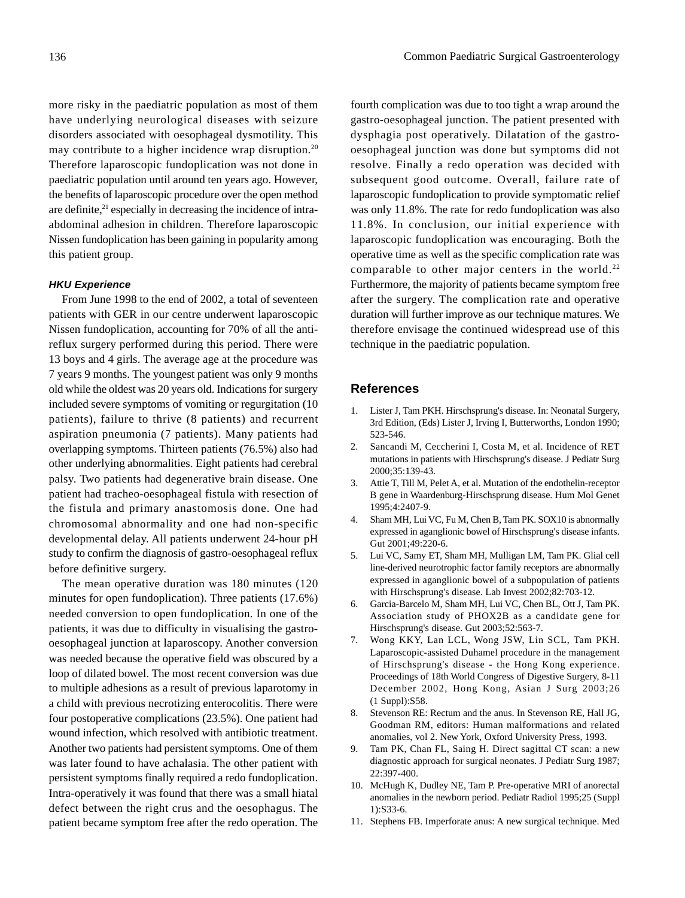more risky in the paediatric population as most of them have underlying neurological diseases with seizure disorders associated with oesophageal dysmotility. This may contribute to a higher incidence wrap disruption.<sup>20</sup> Therefore laparoscopic fundoplication was not done in paediatric population until around ten years ago. However, the benefits of laparoscopic procedure over the open method are definite,<sup>21</sup> especially in decreasing the incidence of intraabdominal adhesion in children. Therefore laparoscopic Nissen fundoplication has been gaining in popularity among this patient group.

#### *HKU Experience*

From June 1998 to the end of 2002, a total of seventeen patients with GER in our centre underwent laparoscopic Nissen fundoplication, accounting for 70% of all the antireflux surgery performed during this period. There were 13 boys and 4 girls. The average age at the procedure was 7 years 9 months. The youngest patient was only 9 months old while the oldest was 20 years old. Indications for surgery included severe symptoms of vomiting or regurgitation (10 patients), failure to thrive (8 patients) and recurrent aspiration pneumonia (7 patients). Many patients had overlapping symptoms. Thirteen patients (76.5%) also had other underlying abnormalities. Eight patients had cerebral palsy. Two patients had degenerative brain disease. One patient had tracheo-oesophageal fistula with resection of the fistula and primary anastomosis done. One had chromosomal abnormality and one had non-specific developmental delay. All patients underwent 24-hour pH study to confirm the diagnosis of gastro-oesophageal reflux before definitive surgery.

The mean operative duration was 180 minutes (120 minutes for open fundoplication). Three patients (17.6%) needed conversion to open fundoplication. In one of the patients, it was due to difficulty in visualising the gastrooesophageal junction at laparoscopy. Another conversion was needed because the operative field was obscured by a loop of dilated bowel. The most recent conversion was due to multiple adhesions as a result of previous laparotomy in a child with previous necrotizing enterocolitis. There were four postoperative complications (23.5%). One patient had wound infection, which resolved with antibiotic treatment. Another two patients had persistent symptoms. One of them was later found to have achalasia. The other patient with persistent symptoms finally required a redo fundoplication. Intra-operatively it was found that there was a small hiatal defect between the right crus and the oesophagus. The patient became symptom free after the redo operation. The

fourth complication was due to too tight a wrap around the gastro-oesophageal junction. The patient presented with dysphagia post operatively. Dilatation of the gastrooesophageal junction was done but symptoms did not resolve. Finally a redo operation was decided with subsequent good outcome. Overall, failure rate of laparoscopic fundoplication to provide symptomatic relief was only 11.8%. The rate for redo fundoplication was also 11.8%. In conclusion, our initial experience with laparoscopic fundoplication was encouraging. Both the operative time as well as the specific complication rate was comparable to other major centers in the world.<sup>22</sup> Furthermore, the majority of patients became symptom free after the surgery. The complication rate and operative duration will further improve as our technique matures. We therefore envisage the continued widespread use of this technique in the paediatric population.

#### **References**

- 1. Lister J, Tam PKH. Hirschsprung's disease. In: Neonatal Surgery, 3rd Edition, (Eds) Lister J, Irving I, Butterworths, London 1990; 523-546.
- 2. Sancandi M, Ceccherini I, Costa M, et al. Incidence of RET mutations in patients with Hirschsprung's disease. J Pediatr Surg 2000;35:139-43.
- 3. Attie T, Till M, Pelet A, et al. Mutation of the endothelin-receptor B gene in Waardenburg-Hirschsprung disease. Hum Mol Genet 1995;4:2407-9.
- 4. Sham MH, Lui VC, Fu M, Chen B, Tam PK. SOX10 is abnormally expressed in aganglionic bowel of Hirschsprung's disease infants. Gut 2001;49:220-6.
- 5. Lui VC, Samy ET, Sham MH, Mulligan LM, Tam PK. Glial cell line-derived neurotrophic factor family receptors are abnormally expressed in aganglionic bowel of a subpopulation of patients with Hirschsprung's disease. Lab Invest 2002;82:703-12.
- 6. Garcia-Barcelo M, Sham MH, Lui VC, Chen BL, Ott J, Tam PK. Association study of PHOX2B as a candidate gene for Hirschsprung's disease. Gut 2003;52:563-7.
- 7. Wong KKY, Lan LCL, Wong JSW, Lin SCL, Tam PKH. Laparoscopic-assisted Duhamel procedure in the management of Hirschsprung's disease - the Hong Kong experience. Proceedings of 18th World Congress of Digestive Surgery, 8-11 December 2002, Hong Kong, Asian J Surg 2003;26 (1 Suppl):S58.
- 8. Stevenson RE: Rectum and the anus. In Stevenson RE, Hall JG, Goodman RM, editors: Human malformations and related anomalies, vol 2. New York, Oxford University Press, 1993.
- 9. Tam PK, Chan FL, Saing H. Direct sagittal CT scan: a new diagnostic approach for surgical neonates. J Pediatr Surg 1987; 22:397-400.
- 10. McHugh K, Dudley NE, Tam P. Pre-operative MRI of anorectal anomalies in the newborn period. Pediatr Radiol 1995;25 (Suppl 1):S33-6.
- 11. Stephens FB. Imperforate anus: A new surgical technique. Med